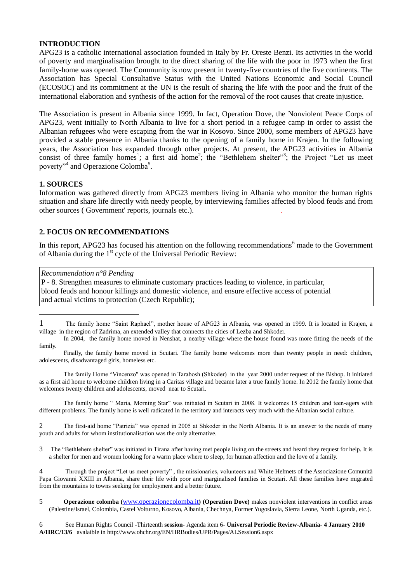## **INTRODUCTION**

APG23 is a catholic international association founded in Italy by Fr. Oreste Benzi. Its activities in the world of poverty and marginalisation brought to the direct sharing of the life with the poor in 1973 when the first family-home was opened. The Community is now present in twenty-five countries of the five continents. The Association has Special Consultative Status with the United Nations Economic and Social Council (ECOSOC) and its commitment at the UN is the result of sharing the life with the poor and the fruit of the international elaboration and synthesis of the action for the removal of the root causes that create injustice.

The Association is present in Albania since 1999. In fact, Operation Dove, the Nonviolent Peace Corps of APG23, went initially to North Albania to live for a short period in a refugee camp in order to assist the Albanian refugees who were escaping from the war in Kosovo. Since 2000, some members of APG23 have provided a stable presence in Albania thanks to the opening of a family home in Krajen. In the following years, the Association has expanded through other projects. At present, the APG23 activities in Albania consist of three family homes<sup>1</sup>; a first aid home<sup>2</sup>; the "Bethlehem shelter"<sup>3</sup>; the Project "Let us meet poverty"<sup>4</sup> and Operazione Colomba<sup>5</sup>.

#### **1. SOURCES**

 $\overline{a}$ 

Information was gathered directly from APG23 members living in Albania who monitor the human rights situation and share life directly with needy people, by interviewing families affected by blood feuds and from other sources ( Government' reports, journals etc.). .

## **2. FOCUS ON RECOMMENDATIONS**

In this report, APG23 has focused his attention on the following recommendations<sup>6</sup> made to the Government of Albania during the 1<sup>st</sup> cycle of the Universal Periodic Review:

#### *Recommendation n°8 Pending*

P - 8. Strengthen measures to eliminate customary practices leading to violence, in particular, blood feuds and honour killings and domestic violence, and ensure effective access of potential and actual victims to protection (Czech Republic);

The family Home "Vincenzo" was opened in Tarabosh (Shkoder) in the year 2000 under request of the Bishop. It initiated as a first aid home to welcome children living in a Caritas village and became later a true family home. In 2012 the family home that welcomes twenty children and adolescents, moved near to Scutari.

The family home " Maria, Morning Star" was initiated in Scutari in 2008. It welcomes 15 children and teen-agers with different problems. The family home is well radicated in the territory and interacts very much with the Albanian social culture.

2 The first-aid home "Patrizia" was opened in 2005 at Shkoder in the North Albania. It is an answer to the needs of many youth and adults for whom institutionalisation was the only alternative.

3 The "Bethlehem shelter" was initiated in Tirana after having met people living on the streets and heard they request for help. It is a shelter for men and women looking for a warm place where to sleep, for human affection and the love of a family.

4 Through the project "Let us meet poverty" , the missionaries, volunteers and White Helmets of the Associazione Comunità Papa Giovanni XXIII in Albania, share their life with poor and marginalised families in Scutari. All these families have migrated from the mountains to towns seeking for employment and a better future.

6 See Human Rights Council -Thirteenth **session-** Agenda item 6- **Universal Periodic Review-Albania- 4 January 2010 A/HRC/13/6** avalaible in http://www.ohchr.org/EN/HRBodies/UPR/Pages/ALSession6.aspx

<sup>1</sup> The family home "Saint Raphael", mother house of APG23 in Albania, was opened in 1999. It is located in Krajen, a village in the region of Zadrima, an extended valley that connects the cities of Lezba and Shkoder.

In 2004, the family home moved in Nenshat, a nearby village where the house found was more fitting the needs of the family.

Finally, the family home moved in Scutari. The family home welcomes more than twenty people in need: children, adolescents, disadvantaged girls, homeless etc.

<sup>5</sup> **Operazione colomba (**[www.operazionecolomba.it](http://www.operazionecolomba.it/)**) (Operation Dove)** makes nonviolent interventions in conflict areas (Palestine/Israel, Colombia, Castel Volturno, Kosovo, Albania, Chechnya, Former Yugoslavia, Sierra Leone, North Uganda, etc.).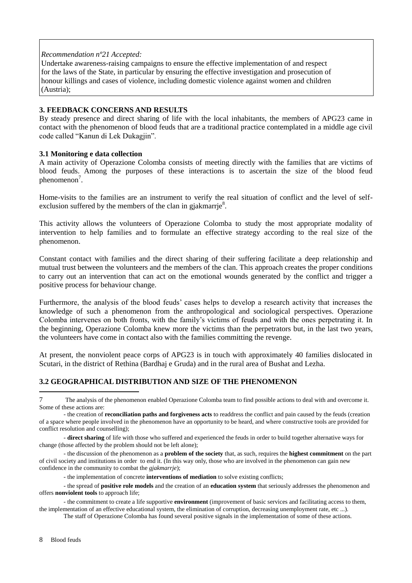#### *Recommendation nº21 Accepted:*

Undertake awareness-raising campaigns to ensure the effective implementation of and respect for the laws of the State, in particular by ensuring the effective investigation and prosecution of honour killings and cases of violence, including domestic violence against women and children (Austria);

## **3. FEEDBACK CONCERNS AND RESULTS**

By steady presence and direct sharing of life with the local inhabitants, the members of APG23 came in contact with the phenomenon of blood feuds that are a traditional practice contemplated in a middle age civil code called "Kanun di Lek Dukagjin".

## **3.1 Monitoring e data collection**

A main activity of Operazione Colomba consists of meeting directly with the families that are victims of blood feuds. Among the purposes of these interactions is to ascertain the size of the blood feud phenomenon<sup>7</sup>.

Home-visits to the families are an instrument to verify the real situation of conflict and the level of selfexclusion suffered by the members of the clan in gjakmarrje $8$ .

This activity allows the volunteers of Operazione Colomba to study the most appropriate modality of intervention to help families and to formulate an effective strategy according to the real size of the phenomenon.

Constant contact with families and the direct sharing of their suffering facilitate a deep relationship and mutual trust between the volunteers and the members of the clan. This approach creates the proper conditions to carry out an intervention that can act on the emotional wounds generated by the conflict and trigger a positive process for behaviour change.

Furthermore, the analysis of the blood feuds' cases helps to develop a research activity that increases the knowledge of such a phenomenon from the anthropological and sociological perspectives. Operazione Colomba intervenes on both fronts, with the family's victims of feuds and with the ones perpetrating it. In the beginning, Operazione Colomba knew more the victims than the perpetrators but, in the last two years, the volunteers have come in contact also with the families committing the revenge.

At present, the nonviolent peace corps of APG23 is in touch with approximately 40 families dislocated in Scutari, in the district of Rethina (Bardhaj e Gruda) and in the rural area of Bushat and Lezha.

# **3.2 GEOGRAPHICAL DISTRIBUTION AND SIZE OF THE PHENOMENON**

 $\overline{a}$ 

<sup>7</sup> The analysis of the phenomenon enabled Operazione Colomba team to find possible actions to deal with and overcome it. Some of these actions are:

<sup>-</sup> the creation of **reconciliation paths and forgiveness acts** to readdress the conflict and pain caused by the feuds (creation of a space where people involved in the phenomenon have an opportunity to be heard, and where constructive tools are provided for conflict resolution and counselling);

<sup>-</sup> **direct sharing** of life with those who suffered and experienced the feuds in order to build together alternative ways for change (those affected by the problem should not be left alone);

<sup>-</sup> the discussion of the phenomenon as a **problem of the society** that, as such, requires the **highest commitment** on the part of civil society and institutions in order to end it. (In this way only, those who are involved in the phenomenon can gain new confidence in the community to combat the *gjakmarrje*);

<sup>-</sup> the implementation of concrete **interventions of mediation** to solve existing conflicts;

<sup>-</sup> the spread of **positive role models** and the creation of an **education system** that seriously addresses the phenomenon and offers **nonviolent tools** to approach life;

<sup>-</sup> the commitment to create a life supportive **environment** (improvement of basic services and facilitating access to them, the implementation of an effective educational system, the elimination of corruption, decreasing unemployment rate, etc ...).

The staff of Operazione Colomba has found several positive signals in the implementation of some of these actions.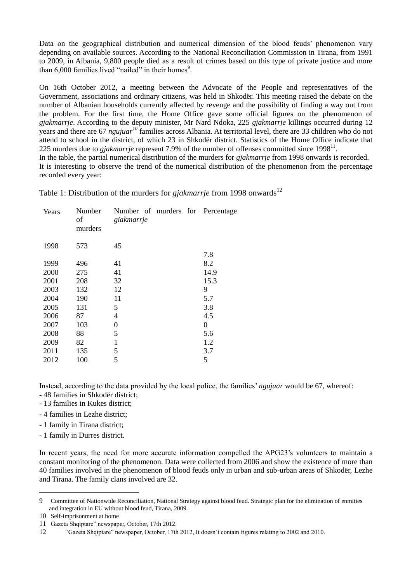Data on the geographical distribution and numerical dimension of the blood feuds' phenomenon vary depending on available sources. According to the National Reconciliation Commission in Tirana, from 1991 to 2009, in Albania, 9,800 people died as a result of crimes based on this type of private justice and more than  $6,000$  families lived "nailed" in their homes<sup>9</sup>.

On 16th October 2012, a meeting between the Advocate of the People and representatives of the Government, associations and ordinary citizens, was held in Shkodër. This meeting raised the debate on the number of Albanian households currently affected by revenge and the possibility of finding a way out from the problem. For the first time, the Home Office gave some official figures on the phenomenon of *gjakmarrje*. According to the deputy minister, Mr Nard Ndoka, 225 *gjakmarrje* killings occurred during 12 years and there are 67 *ngujuar<sup>10</sup>* families across Albania. At territorial level, there are 33 children who do not attend to school in the district, of which 23 in Shkodër district. Statistics of the Home Office indicate that 225 murders due to *gjakmarrje* represent 7.9% of the number of offenses committed since  $1998<sup>11</sup>$ . In the table, the partial numerical distribution of the murders for *gjakmarrje* from 1998 onwards is recorded.

It is interesting to observe the trend of the numerical distribution of the phenomenon from the percentage recorded every year:

Table 1: Distribution of the murders for *gjakmarrje* from 1998 onwards<sup>12</sup>

| Years | Number<br>of<br>murders | Number of murders for Percentage<br>giakmarrje |      |
|-------|-------------------------|------------------------------------------------|------|
| 1998  | 573                     | 45                                             |      |
|       |                         |                                                | 7.8  |
| 1999  | 496                     | 41                                             | 8.2  |
| 2000  | 275                     | 41                                             | 14.9 |
| 2001  | 208                     | 32                                             | 15.3 |
| 2003  | 132                     | 12                                             | 9    |
| 2004  | 190                     | 11                                             | 5.7  |
| 2005  | 131                     | 5                                              | 3.8  |
| 2006  | 87                      | 4                                              | 4.5  |
| 2007  | 103                     | $\boldsymbol{0}$                               | 0    |
| 2008  | 88                      | 5                                              | 5.6  |
| 2009  | 82                      | $\mathbf{1}$                                   | 1.2  |
| 2011  | 135                     | 5                                              | 3.7  |
| 2012  | 100                     | 5                                              | 5    |
|       |                         |                                                |      |

Instead, according to the data provided by the local police, the families' *ngujuar* would be 67, whereof: - 48 families in Shkodër district;

- 13 families in Kukes district;
- 4 families in Lezhe district;
- 1 family in Tirana district;
- 1 family in Durres district.

In recent years, the need for more accurate information compelled the APG23's volunteers to maintain a constant monitoring of the phenomenon. Data were collected from 2006 and show the existence of more than 40 families involved in the phenomenon of blood feuds only in urban and sub-urban areas of Shkodër, Lezhe and Tirana. The family clans involved are 32.

 $\overline{a}$ 

<sup>9</sup> Committee of Nationwide Reconciliation, National Strategy against blood feud. Strategic plan for the elimination of enmities and integration in EU without blood feud, Tirana, 2009.

<sup>10</sup> Self-imprisonment at home

<sup>11</sup> Gazeta Shqiptare" newspaper, October, 17th 2012.

<sup>12</sup> "Gazeta Shqiptare" newspaper, October, 17th 2012, It doesn't contain figures relating to 2002 and 2010.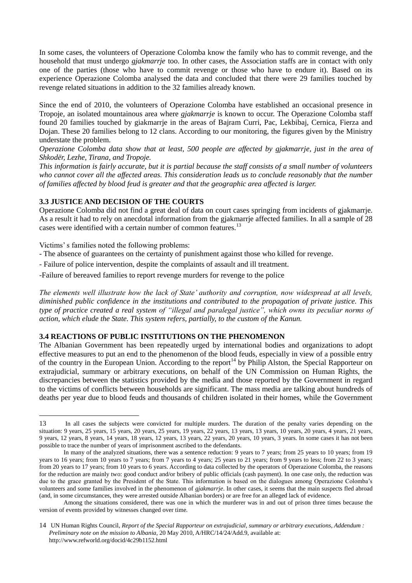In some cases, the volunteers of Operazione Colomba know the family who has to commit revenge, and the household that must undergo *gjakmarrje* too. In other cases, the Association staffs are in contact with only one of the parties (those who have to commit revenge or those who have to endure it). Based on its experience Operazione Colomba analysed the data and concluded that there were 29 families touched by revenge related situations in addition to the 32 families already known.

Since the end of 2010, the volunteers of Operazione Colomba have established an occasional presence in Tropoje, an isolated mountainous area where *gjakmarrje* is known to occur. The Operazione Colomba staff found 20 families touched by giakmarrje in the areas of Bajram Curri, Pac, Lekbibaj, Cernica, Fierza and Dojan. These 20 families belong to 12 clans. According to our monitoring, the figures given by the Ministry understate the problem.

*Operazione Colomba data show that at least, 500 people are affected by gjakmarrje, just in the area of Shkodër, Lezhe, Tirana, and Tropoje.* 

*This information is fairly accurate, but it is partial because the staff consists of a small number of volunteers who cannot cover all the affected areas. This consideration leads us to conclude reasonably that the number of families affected by blood feud is greater and that the geographic area affected is larger.*

# **3.3 JUSTICE AND DECISION OF THE COURTS**

Operazione Colomba did not find a great deal of data on court cases springing from incidents of gjakmarrje. As a result it had to rely on anecdotal information from the gjakmarrje affected families. In all a sample of 28 cases were identified with a certain number of common features.<sup>13</sup>

Victims' s families noted the following problems:

 $\overline{a}$ 

- The absence of guarantees on the certainty of punishment against those who killed for revenge.
- Failure of police intervention, despite the complaints of assault and ill treatment.
- -Failure of bereaved families to report revenge murders for revenge to the police

*The elements well illustrate how the lack of State' authority and corruption, now widespread at all levels, diminished public confidence in the institutions and contributed to the propagation of private justice. This type of practice created a real system of "illegal and paralegal justice", which owns its peculiar norms of action, which elude the State. This system refers, partially, to the custom of the Kanun.* 

# **3.4 REACTIONS OF PUBLIC INSTITUTIONS ON THE PHENOMENON**

The Albanian Government has been repeatedly urged by international bodies and organizations to adopt effective measures to put an end to the phenomenon of the blood feuds, especially in view of a possible entry of the country in the European Union. According to the report<sup>14</sup> by Philip Alston, the Special Rapporteur on extrajudicial, summary or arbitrary executions, on behalf of the UN Commission on Human Rights, the discrepancies between the statistics provided by the media and those reported by the Government in regard to the victims of conflicts between households are significant. The mass media are talking about hundreds of deaths per year due to blood feuds and thousands of children isolated in their homes, while the Government

<sup>13</sup> In all cases the subjects were convicted for multiple murders. The duration of the penalty varies depending on the situation: 9 years, 25 years, 15 years, 20 years, 25 years, 19 years, 22 years, 13 years, 13 years, 10 years, 20 years, 4 years, 21 years, 9 years, 12 years, 8 years, 14 years, 18 years, 12 years, 13 years, 22 years, 20 years, 10 years, 3 years. In some cases it has not been possible to trace the number of years of imprisonment ascribed to the defendants.

In many of the analyzed situations, there was a sentence reduction: 9 years to 7 years; from 25 years to 10 years; from 19 years to 16 years; from 10 years to 7 years; from 7 years to 4 years; 25 years to 21 years; from 9 years to less; from 22 to 3 years; from 20 years to 17 years; from 10 years to 6 years. According to data collected by the operators of Operazione Colomba, the reasons for the reduction are mainly two: good conduct and/or bribery of public officials (cash payment). In one case only, the reduction was due to the grace granted by the President of the State. This information is based on the dialogues among Operazione Colomba's volunteers and some families involved in the phenomenon of *gjakmarrje*. In other cases, it seems that the main suspects fled abroad (and, in some circumstances, they were arrested outside Albanian borders) or are free for an alleged lack of evidence.

Among the situations considered, there was one in which the murderer was in and out of prison three times because the version of events provided by witnesses changed over time.

<sup>14</sup> UN Human Rights Council, *Report of the Special Rapporteur on extrajudicial, summary or arbitrary executions, Addendum : Preliminary note on the mission to Albania*, 20 May 2010, A/HRC/14/24/Add.9, available at: http://www.refworld.org/docid/4c29b1152.html